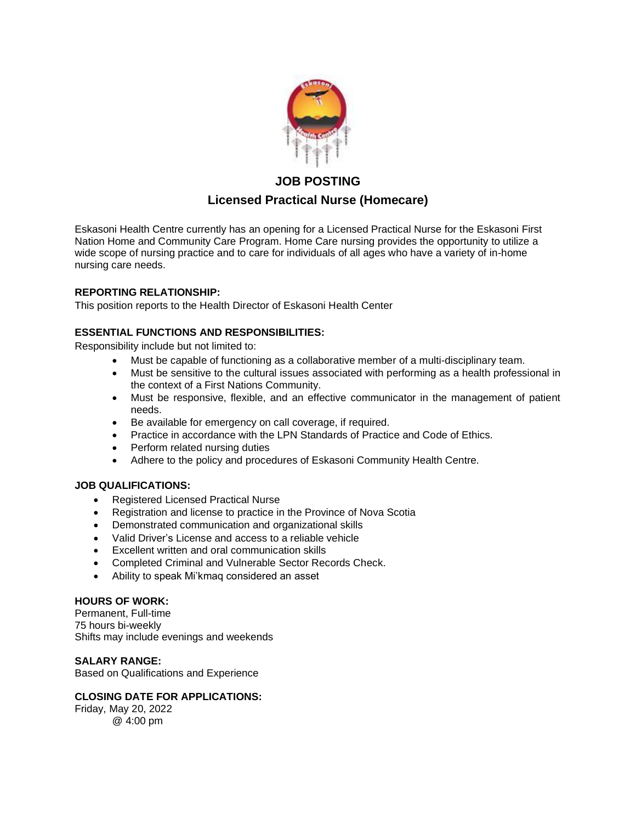

# **JOB POSTING Licensed Practical Nurse (Homecare)**

Eskasoni Health Centre currently has an opening for a Licensed Practical Nurse for the Eskasoni First Nation Home and Community Care Program. Home Care nursing provides the opportunity to utilize a wide scope of nursing practice and to care for individuals of all ages who have a variety of in-home nursing care needs.

### **REPORTING RELATIONSHIP:**

This position reports to the Health Director of Eskasoni Health Center

## **ESSENTIAL FUNCTIONS AND RESPONSIBILITIES:**

Responsibility include but not limited to:

- Must be capable of functioning as a collaborative member of a multi-disciplinary team.
- Must be sensitive to the cultural issues associated with performing as a health professional in the context of a First Nations Community.
- Must be responsive, flexible, and an effective communicator in the management of patient needs.
- Be available for emergency on call coverage, if required.
- Practice in accordance with the LPN Standards of Practice and Code of Ethics.
- Perform related nursing duties
- Adhere to the policy and procedures of Eskasoni Community Health Centre.

### **JOB QUALIFICATIONS:**

- Registered Licensed Practical Nurse
- Registration and license to practice in the Province of Nova Scotia
- Demonstrated communication and organizational skills
- Valid Driver's License and access to a reliable vehicle
- Excellent written and oral communication skills
- Completed Criminal and Vulnerable Sector Records Check.
- Ability to speak Mi'kmaq considered an asset

### **HOURS OF WORK:**

Permanent, Full-time 75 hours bi-weekly Shifts may include evenings and weekends

#### **SALARY RANGE:**

Based on Qualifications and Experience

#### **CLOSING DATE FOR APPLICATIONS:**

Friday, May 20, 2022 @ 4:00 pm